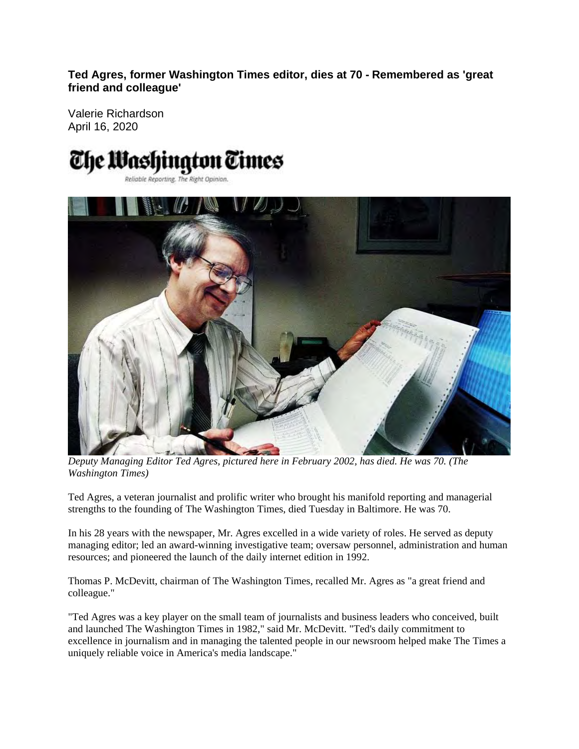**Ted Agres, former Washington Times editor, dies at 70 - Remembered as 'great friend and colleague'** 

Valerie Richardson April 16, 2020

## The Washington Times Reliable Reporting. The Right Opinion.



*Deputy Managing Editor Ted Agres, pictured here in February 2002, has died. He was 70. (The Washington Times)* 

Ted Agres, a veteran journalist and prolific writer who brought his manifold reporting and managerial strengths to the founding of The Washington Times, died Tuesday in Baltimore. He was 70.

In his 28 years with the newspaper, Mr. Agres excelled in a wide variety of roles. He served as deputy managing editor; led an award-winning investigative team; oversaw personnel, administration and human resources; and pioneered the launch of the daily internet edition in 1992.

Thomas P. McDevitt, chairman of The Washington Times, recalled Mr. Agres as "a great friend and colleague."

"Ted Agres was a key player on the small team of journalists and business leaders who conceived, built and launched The Washington Times in 1982," said Mr. McDevitt. "Ted's daily commitment to excellence in journalism and in managing the talented people in our newsroom helped make The Times a uniquely reliable voice in America's media landscape."